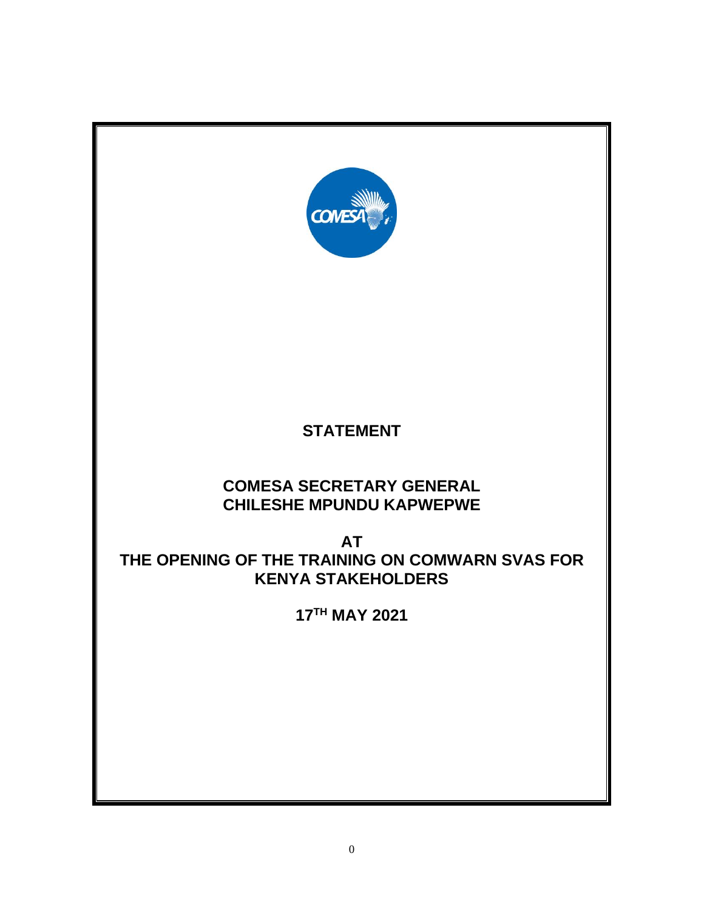

# **STATEMENT**

## **COMESA SECRETARY GENERAL CHILESHE MPUNDU KAPWEPWE**

## **AT THE OPENING OF THE TRAINING ON COMWARN SVAS FOR KENYA STAKEHOLDERS**

**17TH MAY 2021**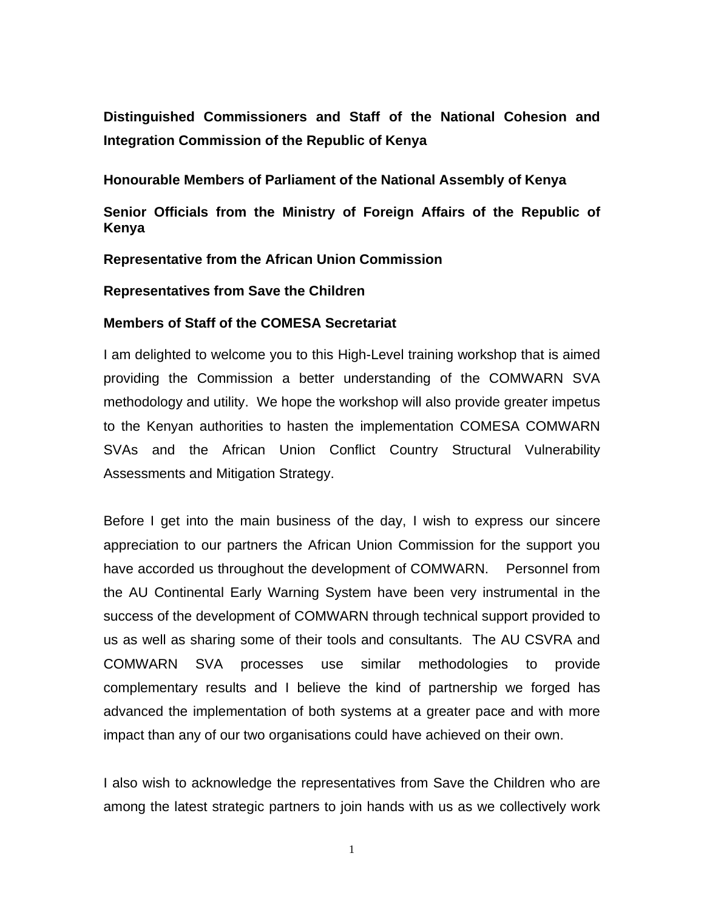**Distinguished Commissioners and Staff of the National Cohesion and Integration Commission of the Republic of Kenya**

#### **Honourable Members of Parliament of the National Assembly of Kenya**

**Senior Officials from the Ministry of Foreign Affairs of the Republic of Kenya**

#### **Representative from the African Union Commission**

#### **Representatives from Save the Children**

#### **Members of Staff of the COMESA Secretariat**

I am delighted to welcome you to this High-Level training workshop that is aimed providing the Commission a better understanding of the COMWARN SVA methodology and utility. We hope the workshop will also provide greater impetus to the Kenyan authorities to hasten the implementation COMESA COMWARN SVAs and the African Union Conflict Country Structural Vulnerability Assessments and Mitigation Strategy.

Before I get into the main business of the day, I wish to express our sincere appreciation to our partners the African Union Commission for the support you have accorded us throughout the development of COMWARN. Personnel from the AU Continental Early Warning System have been very instrumental in the success of the development of COMWARN through technical support provided to us as well as sharing some of their tools and consultants. The AU CSVRA and COMWARN SVA processes use similar methodologies to provide complementary results and I believe the kind of partnership we forged has advanced the implementation of both systems at a greater pace and with more impact than any of our two organisations could have achieved on their own.

I also wish to acknowledge the representatives from Save the Children who are among the latest strategic partners to join hands with us as we collectively work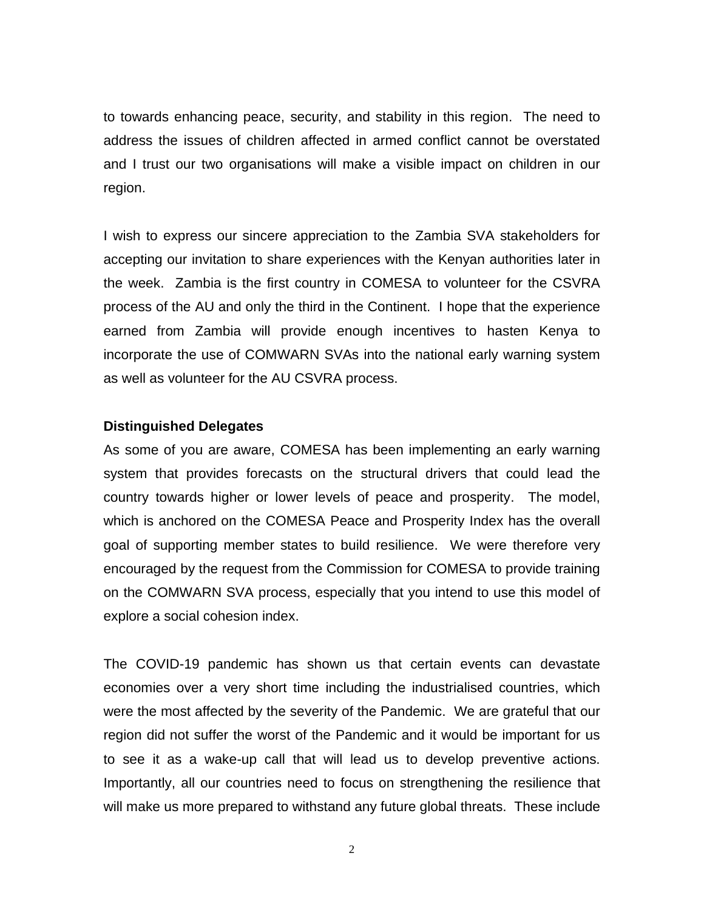to towards enhancing peace, security, and stability in this region. The need to address the issues of children affected in armed conflict cannot be overstated and I trust our two organisations will make a visible impact on children in our region.

I wish to express our sincere appreciation to the Zambia SVA stakeholders for accepting our invitation to share experiences with the Kenyan authorities later in the week. Zambia is the first country in COMESA to volunteer for the CSVRA process of the AU and only the third in the Continent. I hope that the experience earned from Zambia will provide enough incentives to hasten Kenya to incorporate the use of COMWARN SVAs into the national early warning system as well as volunteer for the AU CSVRA process.

#### **Distinguished Delegates**

As some of you are aware, COMESA has been implementing an early warning system that provides forecasts on the structural drivers that could lead the country towards higher or lower levels of peace and prosperity. The model, which is anchored on the COMESA Peace and Prosperity Index has the overall goal of supporting member states to build resilience. We were therefore very encouraged by the request from the Commission for COMESA to provide training on the COMWARN SVA process, especially that you intend to use this model of explore a social cohesion index.

The COVID-19 pandemic has shown us that certain events can devastate economies over a very short time including the industrialised countries, which were the most affected by the severity of the Pandemic. We are grateful that our region did not suffer the worst of the Pandemic and it would be important for us to see it as a wake-up call that will lead us to develop preventive actions. Importantly, all our countries need to focus on strengthening the resilience that will make us more prepared to withstand any future global threats. These include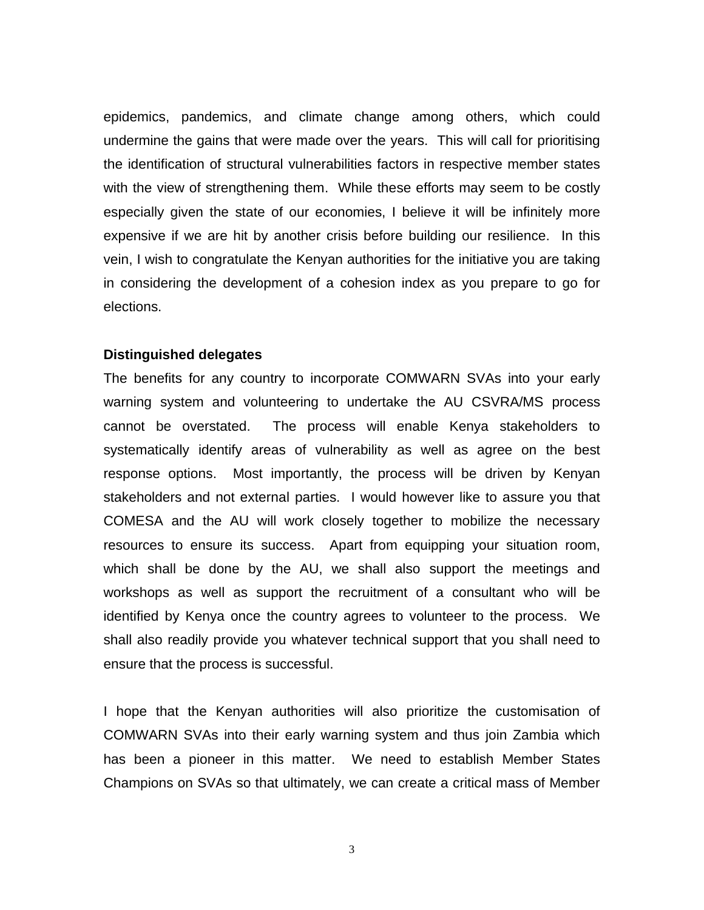epidemics, pandemics, and climate change among others, which could undermine the gains that were made over the years. This will call for prioritising the identification of structural vulnerabilities factors in respective member states with the view of strengthening them. While these efforts may seem to be costly especially given the state of our economies, I believe it will be infinitely more expensive if we are hit by another crisis before building our resilience. In this vein, I wish to congratulate the Kenyan authorities for the initiative you are taking in considering the development of a cohesion index as you prepare to go for elections.

#### **Distinguished delegates**

The benefits for any country to incorporate COMWARN SVAs into your early warning system and volunteering to undertake the AU CSVRA/MS process cannot be overstated. The process will enable Kenya stakeholders to systematically identify areas of vulnerability as well as agree on the best response options. Most importantly, the process will be driven by Kenyan stakeholders and not external parties. I would however like to assure you that COMESA and the AU will work closely together to mobilize the necessary resources to ensure its success. Apart from equipping your situation room, which shall be done by the AU, we shall also support the meetings and workshops as well as support the recruitment of a consultant who will be identified by Kenya once the country agrees to volunteer to the process. We shall also readily provide you whatever technical support that you shall need to ensure that the process is successful.

I hope that the Kenyan authorities will also prioritize the customisation of COMWARN SVAs into their early warning system and thus join Zambia which has been a pioneer in this matter. We need to establish Member States Champions on SVAs so that ultimately, we can create a critical mass of Member

3